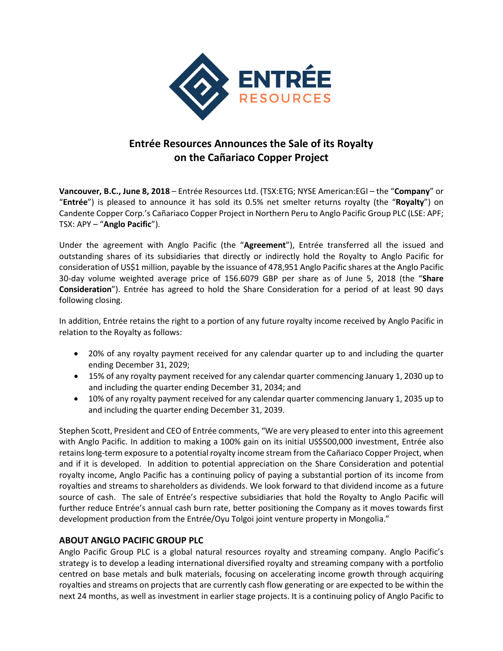

## **Entrée Resources Announces the Sale of its Royalty on the Cañariaco Copper Project**

**Vancouver, B.C., June 8, 2018** – Entrée Resources Ltd. (TSX:ETG; NYSE American:EGI – the "**Company**" or "**Entrée**") is pleased to announce it has sold its 0.5% net smelter returns royalty (the "**Royalty**") on Candente Copper Corp.'s Cañariaco Copper Project in Northern Peru to Anglo Pacific Group PLC (LSE: APF; TSX: APY – "**Anglo Pacific**").

Under the agreement with Anglo Pacific (the "**Agreement**"), Entrée transferred all the issued and outstanding shares of its subsidiaries that directly or indirectly hold the Royalty to Anglo Pacific for consideration of US\$1 million, payable by the issuance of 478,951 Anglo Pacific shares at the Anglo Pacific 30-day volume weighted average price of 156.6079 GBP per share as of June 5, 2018 (the "**Share Consideration**"). Entrée has agreed to hold the Share Consideration for a period of at least 90 days following closing.

In addition, Entrée retains the right to a portion of any future royalty income received by Anglo Pacific in relation to the Royalty as follows:

- 20% of any royalty payment received for any calendar quarter up to and including the quarter ending December 31, 2029;
- 15% of any royalty payment received for any calendar quarter commencing January 1, 2030 up to and including the quarter ending December 31, 2034; and
- 10% of any royalty payment received for any calendar quarter commencing January 1, 2035 up to and including the quarter ending December 31, 2039.

Stephen Scott, President and CEO of Entrée comments, "We are very pleased to enter into this agreement with Anglo Pacific. In addition to making a 100% gain on its initial US\$500,000 investment, Entrée also retainslong-term exposure to a potential royalty income stream from the Cañariaco Copper Project, when and if it is developed. In addition to potential appreciation on the Share Consideration and potential royalty income, Anglo Pacific has a continuing policy of paying a substantial portion of its income from royalties and streams to shareholders as dividends. We look forward to that dividend income as a future source of cash. The sale of Entrée's respective subsidiaries that hold the Royalty to Anglo Pacific will further reduce Entrée's annual cash burn rate, better positioning the Company as it moves towards first development production from the Entrée/Oyu Tolgoi joint venture property in Mongolia."

## **ABOUT ANGLO PACIFIC GROUP PLC**

Anglo Pacific Group PLC is a global natural resources royalty and streaming company. Anglo Pacific's strategy is to develop a leading international diversified royalty and streaming company with a portfolio centred on base metals and bulk materials, focusing on accelerating income growth through acquiring royalties and streams on projects that are currently cash flow generating or are expected to be within the next 24 months, as well as investment in earlier stage projects. It is a continuing policy of Anglo Pacific to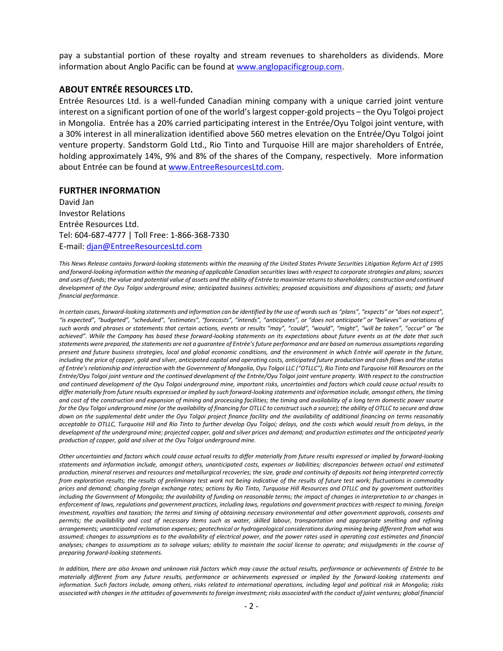pay a substantial portion of these royalty and stream revenues to shareholders as dividends. More information about Anglo Pacific can be found at [www.anglopacificgroup.com.](http://www.anglopacificgroup.com/)

## **ABOUT ENTRÉE RESOURCES LTD.**

Entrée Resources Ltd. is a well-funded Canadian mining company with a unique carried joint venture interest on a significant portion of one of the world's largest copper-gold projects – the Oyu Tolgoi project in Mongolia. Entrée has a 20% carried participating interest in the Entrée/Oyu Tolgoi joint venture, with a 30% interest in all mineralization identified above 560 metres elevation on the Entrée/Oyu Tolgoi joint venture property. Sandstorm Gold Ltd., Rio Tinto and Turquoise Hill are major shareholders of Entrée, holding approximately 14%, 9% and 8% of the shares of the Company, respectively. More information about Entrée can be found at [www.EntreeResourcesLtd.com.](http://www.entreeresourcesltd.com/)

## **FURTHER INFORMATION**

David Jan Investor Relations Entrée Resources Ltd. Tel: 604-687-4777 | Toll Free: 1-866-368-7330 E-mail: [djan@EntreeResourcesLtd.com](mailto:djan@EntreeResourcesLtd.com)

*This News Release contains forward-looking statements within the meaning of the United States Private Securities Litigation Reform Act of 1995 and forward-looking information within the meaning of applicable Canadian securities laws with respect to corporate strategies and plans; sources and uses of funds; the value and potential value of assets and the ability of Entrée to maximize returns to shareholders; construction and continued development of the Oyu Tolgoi underground mine; anticipated business activities; proposed acquisitions and dispositions of assets; and future financial performance.*

In certain cases, forward-looking statements and information can be identified by the use of words such as "plans", "expects" or "does not expect", "is expected", "budgeted", "scheduled", "estimates", "forecasts", "intends", "anticipates", or "does not anticipate" or "believes" or variations of such words and phrases or statements that certain actions, events or results "may", "could", "would", "might", "will be taken", "occur" or "be *achieved". While the Company has based these forward-looking statements on its expectations about future events as at the date that such statements were prepared, the statements are not a guarantee of Entrée's future performance and are based on numerous assumptions regarding present and future business strategies, local and global economic conditions, and the environment in which Entrée will operate in the future, including the price of copper, gold and silver, anticipated capital and operating costs, anticipated future production and cash flows and the status of Entrée's relationship and interaction with the Government of Mongolia, Oyu Tolgoi LLC ("OTLLC"), Rio Tinto and Turquoise Hill Resources on the Entrée/Oyu Tolgoi joint venture and the continued development of the Entrée/Oyu Tolgoi joint venture property. With respect to the construction and continued development of the Oyu Tolgoi underground mine, important risks, uncertainties and factors which could cause actual results to differ materially from future results expressed or implied by such forward-looking statements and information include, amongst others, the timing and cost of the construction and expansion of mining and processing facilities; the timing and availability of a long term domestic power source for the Oyu Tolgoi underground mine (or the availability of financing for OTLLC to construct such a source); the ability of OTLLC to secure and draw down on the supplemental debt under the Oyu Tolgoi project finance facility and the availability of additional financing on terms reasonably acceptable to OTLLC, Turquoise Hill and Rio Tinto to further develop Oyu Tolgoi; delays, and the costs which would result from delays, in the development of the underground mine; projected copper, gold and silver prices and demand; and production estimates and the anticipated yearly production of copper, gold and silver at the Oyu Tolgoi underground mine.*

*Other uncertainties and factors which could cause actual results to differ materially from future results expressed or implied by forward-looking statements and information include, amongst others, unanticipated costs, expenses or liabilities; discrepancies between actual and estimated production, mineral reserves and resources and metallurgical recoveries; the size, grade and continuity of deposits not being interpreted correctly from exploration results; the results of preliminary test work not being indicative of the results of future test work; fluctuations in commodity prices and demand; changing foreign exchange rates; actions by Rio Tinto, Turquoise Hill Resources and OTLLC and by government authorities*  including the Government of Mongolia; the availability of funding on reasonable terms; the impact of changes in interpretation to or changes in *enforcement of laws, regulations and government practices, including laws, regulations and government practices with respect to mining, foreign investment, royalties and taxation; the terms and timing of obtaining necessary environmental and other government approvals, consents and permits; the availability and cost of necessary items such as water, skilled labour, transportation and appropriate smelting and refining arrangements; unanticipated reclamation expenses; geotechnical or hydrogeological considerations during mining being different from what was assumed; changes to assumptions as to the availability of electrical power, and the power rates used in operating cost estimates and financial analyses; changes to assumptions as to salvage values; ability to maintain the social license to operate; and misjudgments in the course of preparing forward-looking statements.* 

*In addition, there are also known and unknown risk factors which may cause the actual results, performance or achievements of Entrée to be materially different from any future results, performance or achievements expressed or implied by the forward-looking statements and information. Such factors include, among others, risks related to international operations, including legal and political risk in Mongolia; risks associated with changes in the attitudes of governments to foreign investment; risks associated with the conduct of joint ventures; global financial*